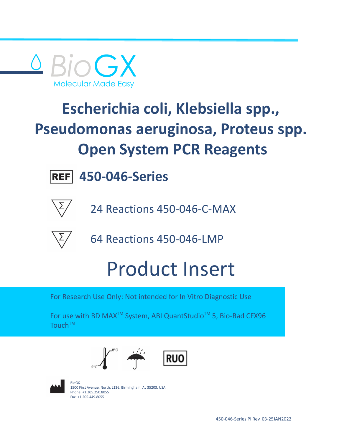

# **Escherichia coli, Klebsiella spp., Pseudomonas aeruginosa, Proteus spp. Open System PCR Reagents**



**450-046-Series**



24 Reactions 450-046-C-MAX



64 Reactions 450-046-LMP

# Product Insert

For Research Use Only: Not intended for In Vitro Diagnostic Use

For use with BD MAX<sup>™</sup> System, ABI QuantStudio<sup>™</sup> 5, Bio-Rad CFX96 Touch™





BioGX 1500 First Avenue, North, L136, Birmingham, AL 35203, USA Phone: +1.205.250.8055 Fax: +1.205.449.8055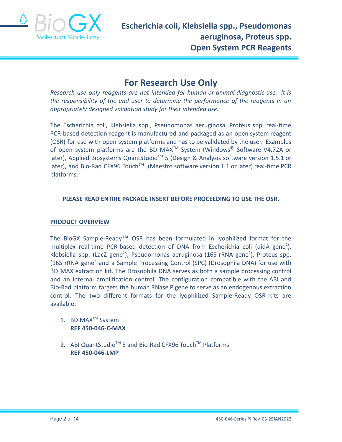

## **For Research Use Only**

*Research use only reagents are not intended for human or animal diagnostic use. It is the responsibility of the end user to determine the performance of the reagents in an appropriately designed validation study for their intended use.*

The Escherichia coli, Klebsiella spp., Pseudomonas aeruginosa, Proteus spp. real-time PCR-based detection reagent is manufactured and packaged as an open system reagent (OSR) for use with open system platforms and has to be validated by the user. Examples of open system platforms are the BD MAX<sup>TM</sup> System (Windows $^{\circledR}$  Software V4.72A or later), Applied Biosystems QuantStudio<sup>™</sup> 5 (Design & Analysis software version 1.5.1 or later), and Bio-Rad CFX96 Touch™ (Maestro software version 1.1 or later) real-time PCR platforms.

#### **PLEASE READ ENTIRE PACKAGE INSERT BEFORE PROCEEDING TO USE THE OSR.**

#### **PRODUCT OVERVIEW**

The BioGX Sample-Ready™ OSR has been formulated in lyophilized format for the multiplex real-time PCR-based detection of DNA from Escherichia coli (uidA gene<sup>1</sup>), Klebsiella spp. (LacZ gene<sup>2</sup>), Pseudomonas aeruginosa (16S rRNA gene<sup>2</sup>), Proteus spp. (16S rRNA gene<sup>3</sup> and a Sample Processing Control (SPC) (Drosophila DNA) for use with BD MAX extraction kit. The Drosophila DNA serves as both a sample processing control and an internal amplification control. The configuration compatible with the ABI and Bio-Rad platform targets the human RNase P gene to serve as an endogenous extraction control. The two different formats for the lyophilized Sample-Ready OSR kits are available:

- 1. BD MAX<sup>™</sup> System **REF 450-046-C-MAX**
- 2. ABI QuantStudio<sup>™</sup> 5 and Bio-Rad CFX96 Touch<sup>™</sup> Platforms **REF 450-046-LMP**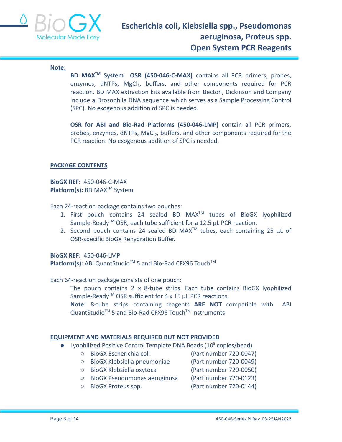

#### **Note:**

**BD MAXTM System OSR (450-046-C-MAX)** contains all PCR primers, probes, enzymes, dNTPs, MgCl<sub>2</sub>, buffers, and other components required for PCR reaction. BD MAX extraction kits available from Becton, Dickinson and Company include a Drosophila DNA sequence which serves as a Sample Processing Control (SPC). No exogenous addition of SPC is needed.

**OSR for ABI and Bio-Rad Platforms (450-046-LMP)** contain all PCR primers, probes, enzymes, dNTPs, MgCl<sub>2</sub>, buffers, and other components required for the PCR reaction. No exogenous addition of SPC is needed.

#### **PACKAGE CONTENTS**

**BioGX REF:** 450-046-C-MAX **Platform(s):** BD MAX<sup>™</sup> System

Each 24-reaction package contains two pouches:

- 1. First pouch contains 24 sealed BD MAX<sup>™</sup> tubes of BioGX lyophilized Sample-Ready<sup>™</sup> OSR, each tube sufficient for a 12.5 µL PCR reaction.
- 2. Second pouch contains 24 sealed BD MAX<sup>TM</sup> tubes, each containing 25  $\mu$ L of OSR-specific BioGX Rehydration Buffer.

**BioGX REF:** 450-046-LMP Platform(s): ABI QuantStudio<sup>™</sup> 5 and Bio-Rad CFX96 Touch<sup>™</sup>

Each 64-reaction package consists of one pouch:

The pouch contains 2 x 8-tube strips. Each tube contains BioGX lyophilized Sample-Ready<sup>TM</sup> OSR sufficient for 4 x 15  $\mu$ L PCR reactions.

**Note:** 8-tube strips containing reagents **ARE NOT** compatible with ABI QuantStudio<sup>™</sup> 5 and Bio-Rad CFX96 Touch<sup>™</sup> instruments

#### **EQUIPMENT AND MATERIALS REQUIRED BUT NOT PROVIDED**

- Lyophilized Positive Control Template DNA Beads  $(10<sup>5</sup>$  copies/bead)
	- BioGX Escherichia coli (Part number 720-0047)
	- BioGX Klebsiella pneumoniae (Part number 720-0049)
	- BioGX Klebsiella oxytoca (Part number 720-0050)

- BioGX Pseudomonas aeruginosa (Part number 720-0123)
- BioGX Proteus spp. (Part number 720-0144)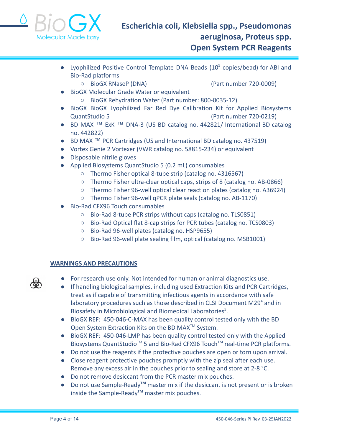

- Lyophilized Positive Control Template DNA Beads (10<sup>5</sup> copies/bead) for ABI and Bio-Rad platforms
	- BioGX RNaseP (DNA) (Part number 720-0009)

- BioGX Molecular Grade Water or equivalent
	- BioGX Rehydration Water (Part number: 800-0035-12)
- BioGX BioGX Lyophilized Far Red Dye Calibration Kit for Applied Biosystems QuantStudio 5 (Part number 720-0219)
- BD MAX ™ ExK ™ DNA-3 (US BD catalog no. 442821/ International BD catalog no. 442822)
- BD MAX ™ PCR Cartridges (US and International BD catalog no. 437519)
- Vortex Genie 2 Vortexer (VWR catalog no. 58815-234) or equivalent
- Disposable nitrile gloves
- Applied Biosystems QuantStudio 5 (0.2 mL) consumables
	- Thermo Fisher optical 8-tube strip (catalog no. 4316567)
	- Thermo Fisher ultra-clear optical caps, strips of 8 (catalog no. AB-0866)
	- Thermo Fisher 96-well optical clear reaction plates (catalog no. A36924)
	- Thermo Fisher 96-well qPCR plate seals (catalog no. AB-1170)
- Bio-Rad CFX96 Touch consumables
	- Bio-Rad 8-tube PCR strips without caps (catalog no. TLS0851)
	- Bio-Rad Optical flat 8-cap strips for PCR tubes (catalog no. TCS0803)
	- Bio-Rad 96-well plates (catalog no. HSP9655)
	- Bio-Rad 96-well plate sealing film, optical (catalog no. MSB1001)

#### **WARNINGS AND PRECAUTIONS**

- For research use only. Not intended for human or animal diagnostics use.
- If handling biological samples, including used Extraction Kits and PCR Cartridges, treat as if capable of transmitting infectious agents in accordance with safe laboratory procedures such as those described in CLSI Document M29<sup>4</sup> and in Biosafety in Microbiological and Biomedical Laboratories<sup>5</sup>.
- BioGX REF: 450-046-C-MAX has been quality control tested only with the BD Open System Extraction Kits on the BD MAX<sup>™</sup> System.
- BioGX REF: 450-046-LMP has been quality control tested only with the Applied Biosystems QuantStudio<sup>™</sup> 5 and Bio-Rad CFX96 Touch<sup>™</sup> real-time PCR platforms.
- Do not use the reagents if the protective pouches are open or torn upon arrival.
- Close reagent protective pouches promptly with the zip seal after each use. Remove any excess air in the pouches prior to sealing and store at 2-8 °C.
- Do not remove desiccant from the PCR master mix pouches.
- Do not use Sample-Ready**TM** master mix if the desiccant is not present or is broken inside the Sample-Ready**TM** master mix pouches.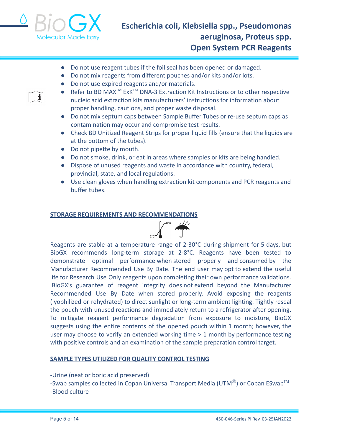

- Do not use reagent tubes if the foil seal has been opened or damaged.
- Do not mix reagents from different pouches and/or kits and/or lots.
- Do not use expired reagents and/or materials.
- i.
- Refer to BD MAX<sup>™</sup> ExK<sup>™</sup> DNA-3 Extraction Kit Instructions or to other respective nucleic acid extraction kits manufacturers' instructions for information about proper handling, cautions, and proper waste disposal.
- Do not mix septum caps between Sample Buffer Tubes or re-use septum caps as contamination may occur and compromise test results.
- Check BD Unitized Reagent Strips for proper liquid fills (ensure that the liquids are at the bottom of the tubes).
- Do not pipette by mouth.
- Do not smoke, drink, or eat in areas where samples or kits are being handled.
- Dispose of unused reagents and waste in accordance with country, federal, provincial, state, and local regulations.
- Use clean gloves when handling extraction kit components and PCR reagents and buffer tubes.

#### **STORAGE REQUIREMENTS AND RECOMMENDATIONS**



Reagents are stable at a temperature range of 2-30°C during shipment for 5 days, but BioGX recommends long-term storage at 2-8°C. Reagents have been tested to demonstrate optimal performance when stored properly and consumed by the Manufacturer Recommended Use By Date. The end user may opt to extend the useful life for Research Use Only reagents upon completing their own performance validations. BioGX's guarantee of reagent integrity does not extend beyond the Manufacturer Recommended Use By Date when stored properly. Avoid exposing the reagents (lyophilized or rehydrated) to direct sunlight or long-term ambient lighting. Tightly reseal the pouch with unused reactions and immediately return to a refrigerator after opening. To mitigate reagent performance degradation from exposure to moisture, BioGX suggests using the entire contents of the opened pouch within 1 month; however, the user may choose to verify an extended working time > 1 month by performance testing with positive controls and an examination of the sample preparation control target.

#### **SAMPLE TYPES UTILIZED FOR QUALITY CONTROL TESTING**

-Urine (neat or boric acid preserved) -Swab samples collected in Copan Universal Transport Media (UTM $^{\circledR}$ ) or Copan ESwab<sup>TM</sup>

-Blood culture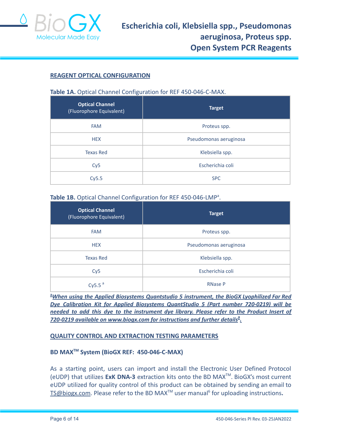

#### **REAGENT OPTICAL CONFIGURATION**

#### **Table 1A.** Optical Channel Configuration for REF 450-046-C-MAX.

| <b>Optical Channel</b><br>(Fluorophore Equivalent) | <b>Target</b>          |  |
|----------------------------------------------------|------------------------|--|
| <b>FAM</b>                                         | Proteus spp.           |  |
| <b>HEX</b>                                         | Pseudomonas aeruginosa |  |
| <b>Texas Red</b>                                   | Klebsiella spp.        |  |
| Cy5                                                | Escherichia coli       |  |
| Cy5.5                                              | <b>SPC</b>             |  |

#### Table 1B. Optical Channel Configuration for REF 450-046-LMP<sup>a</sup>.

| <b>Optical Channel</b><br>(Fluorophore Equivalent) | <b>Target</b>          |
|----------------------------------------------------|------------------------|
| <b>FAM</b>                                         | Proteus spp.           |
| <b>HEX</b>                                         | Pseudomonas aeruginosa |
| <b>Texas Red</b>                                   | Klebsiella spp.        |
| Cy <sub>5</sub>                                    | Escherichia coli       |
| Cy5.5 $a$                                          | <b>RNase P</b>         |

**<sup>a</sup>***When using the Applied Biosystems Quantstudio 5 instrument, the BioGX Lyophilized Far Red Dye Calibration Kit for Applied Biosystems QuantStudio 5 (Part number 720-0219) will be needed to add this dye to the instrument dye library. Please refer to the Product Insert of 720-0219 available on [www.biogx.com](http://www.biogx.com) for instructions and further details 9 .*

#### **QUALITY CONTROL AND EXTRACTION TESTING PARAMETERS**

#### **BD MAXTM System (BioGX REF: 450-046-C-MAX)**

As a starting point, users can import and install the Electronic User Defined Protocol (eUDP) that utilizes **ExK DNA-3** extraction kits onto the BD MAXTM . BioGX's most current eUDP utilized for quality control of this product can be obtained by sending an email to [TS@biogx.com](mailto:TS@biogx.com). Please refer to the BD MAX<sup>™</sup> user manual<sup>6</sup> for uploading instructions.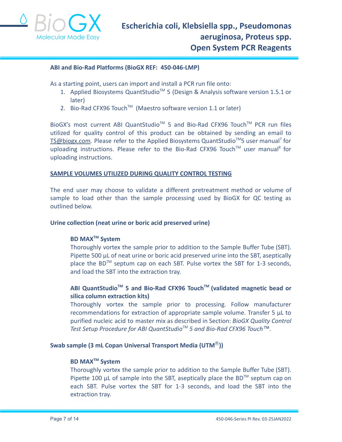

#### **ABI and Bio-Rad Platforms (BioGX REF: 450-046-LMP)**

As a starting point, users can import and install a PCR run file onto:

- 1. Applied Biosystems QuantStudio<sup>™</sup> 5 (Design & Analysis software version 1.5.1 or later)
- 2. Bio-Rad CFX96 Touch<sup>™</sup> (Maestro software version 1.1 or later)

BioGX's most current ABI QuantStudio<sup>™</sup> 5 and Bio-Rad CFX96 Touch<sup>™</sup> PCR run files utilized for quality control of this product can be obtained by sending an email to [TS@biogx.com](mailto:TS@biogx.com). Please refer to the Applied Biosystems QuantStudio<sup>™</sup>5 user manual<sup>7</sup> for uploading instructions. Please refer to the Bio-Rad CFX96 Touch™ user manual<sup>8</sup> for uploading instructions.

#### **SAMPLE VOLUMES UTILIZED DURING QUALITY CONTROL TESTING**

The end user may choose to validate a different pretreatment method or volume of sample to load other than the sample processing used by BioGX for QC testing as outlined below.

#### **Urine collection (neat urine or boric acid preserved urine)**

#### **BD MAXTM System**

Thoroughly vortex the sample prior to addition to the Sample Buffer Tube (SBT). Pipette 500 μL of neat urine or boric acid preserved urine into the SBT, aseptically place the BD<sup>™</sup> septum cap on each SBT. Pulse vortex the SBT for 1-3 seconds, and load the SBT into the extraction tray.

#### **ABI QuantStudioTM 5 and Bio-Rad CFX96 TouchTM (validated magnetic bead or silica column extraction kits)**

Thoroughly vortex the sample prior to processing. Follow manufacturer recommendations for extraction of appropriate sample volume. Transfer 5 μL to purified nucleic acid to master mix as described in Section: *BioGX Quality Control Test Setup Procedure for ABI QuantStudioTM 5 and Bio-Rad CFX96 Touch™.*

#### **Swab sample (3 mL Copan Universal Transport Media (UTM**Ⓡ**))**

#### **BD MAXTM System**

Thoroughly vortex the sample prior to addition to the Sample Buffer Tube (SBT). Pipette 100  $\mu$ L of sample into the SBT, aseptically place the BD<sup>TM</sup> septum cap on each SBT. Pulse vortex the SBT for 1-3 seconds, and load the SBT into the extraction tray.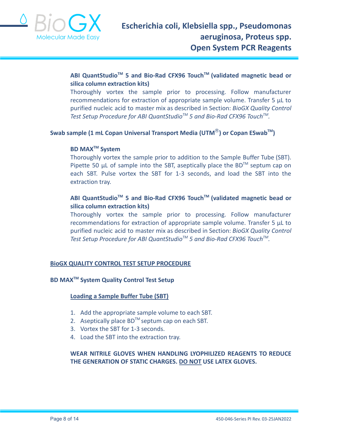

#### **ABI QuantStudioTM 5 and Bio-Rad CFX96 TouchTM (validated magnetic bead or silica column extraction kits)**

Thoroughly vortex the sample prior to processing. Follow manufacturer recommendations for extraction of appropriate sample volume. Transfer 5 μL to purified nucleic acid to master mix as described in Section: *BioGX Quality Control Test Setup Procedure for ABI QuantStudioTM 5 and Bio-Rad CFX96 TouchTM .*

#### **Swab sample (1 mL Copan Universal Transport Media (UTM**Ⓡ**) or Copan ESwabTM )**

#### **BD MAXTM System**

Thoroughly vortex the sample prior to addition to the Sample Buffer Tube (SBT). Pipette 50  $\mu$ L of sample into the SBT, aseptically place the BD<sup>TM</sup> septum cap on each SBT. Pulse vortex the SBT for 1-3 seconds, and load the SBT into the extraction tray.

#### **ABI QuantStudioTM 5 and Bio-Rad CFX96 TouchTM (validated magnetic bead or silica column extraction kits)**

Thoroughly vortex the sample prior to processing. Follow manufacturer recommendations for extraction of appropriate sample volume. Transfer 5 μL to purified nucleic acid to master mix as described in Section: *BioGX Quality Control Test Setup Procedure for ABI QuantStudioTM 5 and Bio-Rad CFX96 TouchTM .*

#### **BioGX QUALITY CONTROL TEST SETUP PROCEDURE**

#### **BD MAXTM System Quality Control Test Setup**

#### **Loading a Sample Buffer Tube (SBT)**

- 1. Add the appropriate sample volume to each SBT.
- 2. Aseptically place  $BD^{TM}$  septum cap on each SBT.
- 3. Vortex the SBT for 1-3 seconds.
- 4. Load the SBT into the extraction tray.

#### **WEAR NITRILE GLOVES WHEN HANDLING LYOPHILIZED REAGENTS TO REDUCE THE GENERATION OF STATIC CHARGES. DO NOT USE LATEX GLOVES.**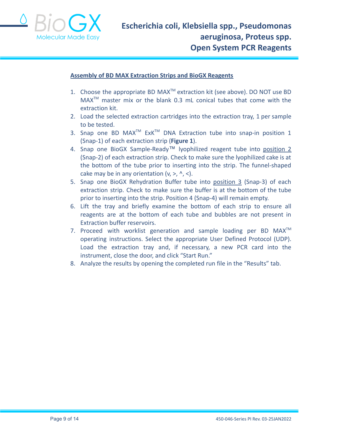

#### **Assembly of BD MAX Extraction Strips and BioGX Reagents**

- 1. Choose the appropriate BD MAX<sup>™</sup> extraction kit (see above). DO NOT use BD  $MAX^{TM}$  master mix or the blank 0.3 mL conical tubes that come with the extraction kit.
- 2. Load the selected extraction cartridges into the extraction tray, 1 per sample to be tested.
- 3. Snap one BD MAX<sup>TM</sup> ExK<sup>TM</sup> DNA Extraction tube into snap-in position 1 (Snap-1) of each extraction strip (**Figure 1**).
- 4. Snap one BioGX Sample-Ready™ lyophilized reagent tube into position 2 (Snap-2) of each extraction strip. Check to make sure the lyophilized cake is at the bottom of the tube prior to inserting into the strip. The funnel-shaped cake may be in any orientation  $(v, >, \land, <)$ .
- 5. Snap one BioGX Rehydration Buffer tube into position 3 (Snap-3) of each extraction strip. Check to make sure the buffer is at the bottom of the tube prior to inserting into the strip. Position 4 (Snap-4) will remain empty.
- 6. Lift the tray and briefly examine the bottom of each strip to ensure all reagents are at the bottom of each tube and bubbles are not present in Extraction buffer reservoirs.
- 7. Proceed with worklist generation and sample loading per BD  $MAX^{TM}$ operating instructions. Select the appropriate User Defined Protocol (UDP). Load the extraction tray and, if necessary, a new PCR card into the instrument, close the door, and click "Start Run."
- 8. Analyze the results by opening the completed run file in the "Results" tab.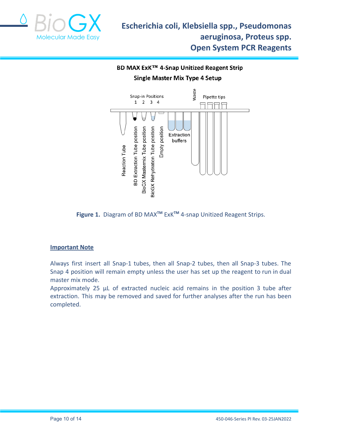

### BD MAX ExK™ 4-Snap Unitized Reagent Strip **Single Master Mix Type 4 Setup**



**Figure 1.** Diagram of BD MAX**TM** ExK**TM** 4-snap Unitized Reagent Strips.

#### **Important Note**

Always first insert all Snap-1 tubes, then all Snap-2 tubes, then all Snap-3 tubes. The Snap 4 position will remain empty unless the user has set up the reagent to run in dual master mix mode.

Approximately 25 µL of extracted nucleic acid remains in the position 3 tube after extraction. This may be removed and saved for further analyses after the run has been completed.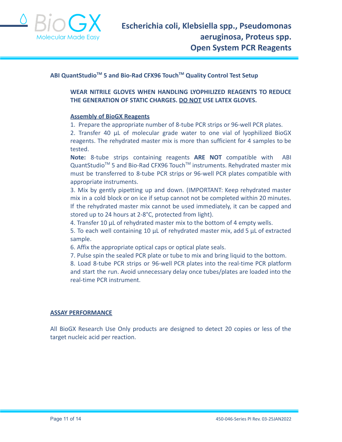

#### **ABI QuantStudioTM 5 and Bio-Rad CFX96 TouchTM Quality Control Test Setup**

**WEAR NITRILE GLOVES WHEN HANDLING LYOPHILIZED REAGENTS TO REDUCE THE GENERATION OF STATIC CHARGES. DO NOT USE LATEX GLOVES.**

#### **Assembly of BioGX Reagents**

1. Prepare the appropriate number of 8-tube PCR strips or 96-well PCR plates.

2. Transfer 40 μL of molecular grade water to one vial of lyophilized BioGX reagents. The rehydrated master mix is more than sufficient for 4 samples to be tested.

**Note:** 8-tube strips containing reagents **ARE NOT** compatible with ABI QuantStudio<sup>™</sup> 5 and Bio-Rad CFX96 Touch<sup>™</sup> instruments. Rehydrated master mix must be transferred to 8-tube PCR strips or 96-well PCR plates compatible with appropriate instruments.

3. Mix by gently pipetting up and down. (IMPORTANT: Keep rehydrated master mix in a cold block or on ice if setup cannot not be completed within 20 minutes. If the rehydrated master mix cannot be used immediately, it can be capped and stored up to 24 hours at 2-8°C, protected from light).

4. Transfer 10 μL of rehydrated master mix to the bottom of 4 empty wells.

5. To each well containing 10 μL of rehydrated master mix, add 5 μL of extracted sample.

6. Affix the appropriate optical caps or optical plate seals.

7. Pulse spin the sealed PCR plate or tube to mix and bring liquid to the bottom.

8. Load 8-tube PCR strips or 96-well PCR plates into the real-time PCR platform and start the run. Avoid unnecessary delay once tubes/plates are loaded into the real-time PCR instrument.

#### **ASSAY PERFORMANCE**

All BioGX Research Use Only products are designed to detect 20 copies or less of the target nucleic acid per reaction.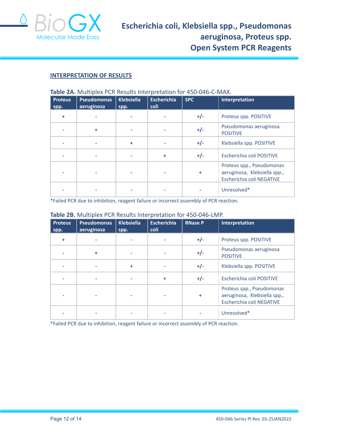

#### **INTERPRETATION OF RESULTS**

| <b>Proteus</b> | <b>Pseudomonas</b> | <b>Klebsiella</b> | <b>Escherichia</b> | <b>SPC</b> | <b>Interpretation</b>                                                                  |
|----------------|--------------------|-------------------|--------------------|------------|----------------------------------------------------------------------------------------|
| spp.           | aeruginosa         | spp.              | coli               |            |                                                                                        |
| ÷              |                    |                   |                    | $+/-$      | Proteus spp. POSITIVE                                                                  |
|                | ÷                  |                   |                    | $+/-$      | Pseudomonas aeruginosa<br><b>POSITIVE</b>                                              |
|                |                    | ÷                 |                    | $+/-$      | Klebsiella spp. POSITIVE                                                               |
|                |                    |                   | ÷                  | $+/-$      | Escherichia coli POSITIVE                                                              |
|                |                    |                   |                    | ÷          | Proteus spp., Pseudomonas<br>aeruginosa, Klebsiella spp.,<br>Escherichia coli NEGATIVE |
|                |                    |                   |                    |            | Unresolved*                                                                            |

\*Failed PCR due to inhibition, reagent failure or incorrect assembly of PCR reaction.

#### **Table 2B.** Multiplex PCR Results Interpretation for 450-046-LMP.

| <b>Proteus</b><br>spp. | <b>Pseudomonas</b><br>aeruginosa | <b>Klebsiella</b><br>spp. | <b>Escherichia</b><br>coli | <b>RNase P</b> | Interpretation                                                                         |
|------------------------|----------------------------------|---------------------------|----------------------------|----------------|----------------------------------------------------------------------------------------|
| ÷                      |                                  |                           |                            | $+/-$          | Proteus spp. POSITIVE                                                                  |
|                        | ÷                                |                           |                            | $+/-$          | Pseudomonas aeruginosa<br><b>POSITIVE</b>                                              |
|                        |                                  | ٠                         |                            | $+/-$          | Klebsiella spp. POSITIVE                                                               |
|                        |                                  |                           | $\ddot{}$                  | $+/-$          | Escherichia coli POSITIVE                                                              |
|                        |                                  |                           |                            | ÷              | Proteus spp., Pseudomonas<br>aeruginosa, Klebsiella spp.,<br>Escherichia coli NEGATIVE |
|                        |                                  |                           |                            |                | Unresolved*                                                                            |

\*Failed PCR due to inhibition, reagent failure or incorrect assembly of PCR reaction.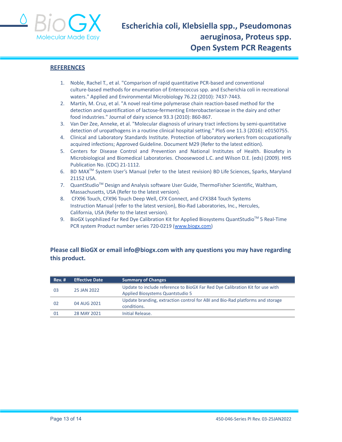

#### **REFERENCES**

- 1. Noble, Rachel T., et al. "Comparison of rapid quantitative PCR-based and conventional culture-based methods for enumeration of Enterococcus spp. and Escherichia coli in recreational waters." Applied and Environmental Microbiology 76.22 (2010): 7437-7443.
- 2. Martín, M. Cruz, et al. "A novel real-time polymerase chain reaction-based method for the detection and quantification of lactose-fermenting Enterobacteriaceae in the dairy and other food industries." Journal of dairy science 93.3 (2010): 860-867.
- 3. Van Der Zee, Anneke, et al. "Molecular diagnosis of urinary tract infections by semi-quantitative detection of uropathogens in a routine clinical hospital setting." PloS one 11.3 (2016): e0150755.
- 4. Clinical and Laboratory Standards Institute. Protection of laboratory workers from occupationally acquired infections; Approved Guideline. Document M29 (Refer to the latest edition).
- 5. Centers for Disease Control and Prevention and National Institutes of Health. Biosafety in Microbiological and Biomedical Laboratories. Choosewood L.C. and Wilson D.E. (eds) (2009). HHS Publication No. (CDC) 21-1112.
- 6. BD MAX TM System User's Manual (refer to the latest revision) BD Life Sciences, Sparks, Maryland 21152 USA.
- 7. QuantStudio<sup>™</sup> Design and Analysis software User Guide, ThermoFisher Scientific, Waltham, Massachusetts, USA (Refer to the latest version).
- 8. CFX96 Touch, CFX96 Touch Deep Well, CFX Connect, and CFX384 Touch Systems Instruction Manual (refer to the latest version), Bio-Rad Laboratories, Inc., Hercules, California, USA (Refer to the latest version).
- 9. BioGX Lyophilized Far Red Dye Calibration Kit for Applied Biosystems QuantStudio™ 5 Real-Time PCR system Product number series 720-0219 ([www.biogx.com\)](http://www.biogx.com)

#### **Please call BioGX or email info@biogx.com with any questions you may have regarding this product.**

| <b>Rev. #</b>     | <b>Effective Date</b>            | <b>Summary of Changes</b>                                                     |
|-------------------|----------------------------------|-------------------------------------------------------------------------------|
|                   |                                  | Update to include reference to BioGX Far Red Dye Calibration Kit for use with |
| 25 JAN 2022<br>03 | Applied Biosystems Quantstudio 5 |                                                                               |
| 04 AUG 2021<br>02 |                                  | Update branding, extraction control for ABI and Bio-Rad platforms and storage |
|                   | conditions.                      |                                                                               |
| 01                | 28 MAY 2021                      | Initial Release.                                                              |